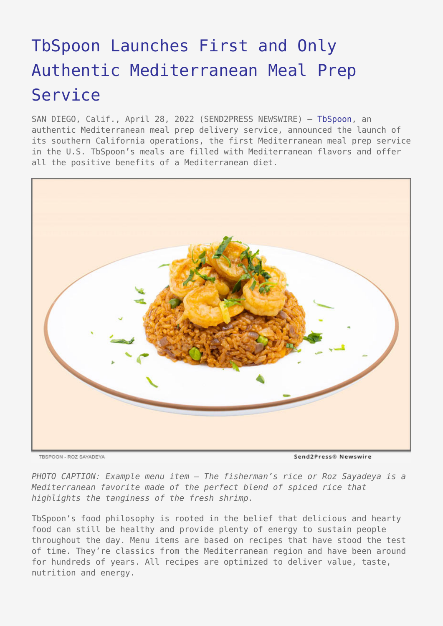## [TbSpoon Launches First and Only](https://www.send2press.com/wire/tbspoon-launches-first-and-only-authentic-mediterranean-meal-prep-service/) [Authentic Mediterranean Meal Prep](https://www.send2press.com/wire/tbspoon-launches-first-and-only-authentic-mediterranean-meal-prep-service/) [Service](https://www.send2press.com/wire/tbspoon-launches-first-and-only-authentic-mediterranean-meal-prep-service/)

SAN DIEGO, Calif., April 28, 2022 (SEND2PRESS NEWSWIRE) — [TbSpoon,](https://tbspoon.com/) an authentic Mediterranean meal prep delivery service, announced the launch of its southern California operations, the first Mediterranean meal prep service in the U.S. TbSpoon's meals are filled with Mediterranean flavors and offer all the positive benefits of a Mediterranean diet.



TBSPOON - ROZ SAYADEYA

Send2Press® Newswire

*PHOTO CAPTION: Example menu item — The fisherman's rice or Roz Sayadeya is a Mediterranean favorite made of the perfect blend of spiced rice that highlights the tanginess of the fresh shrimp.*

TbSpoon's food philosophy is rooted in the belief that delicious and hearty food can still be healthy and provide plenty of energy to sustain people throughout the day. Menu items are based on recipes that have stood the test of time. They're classics from the Mediterranean region and have been around for hundreds of years. All recipes are optimized to deliver value, taste, nutrition and energy.